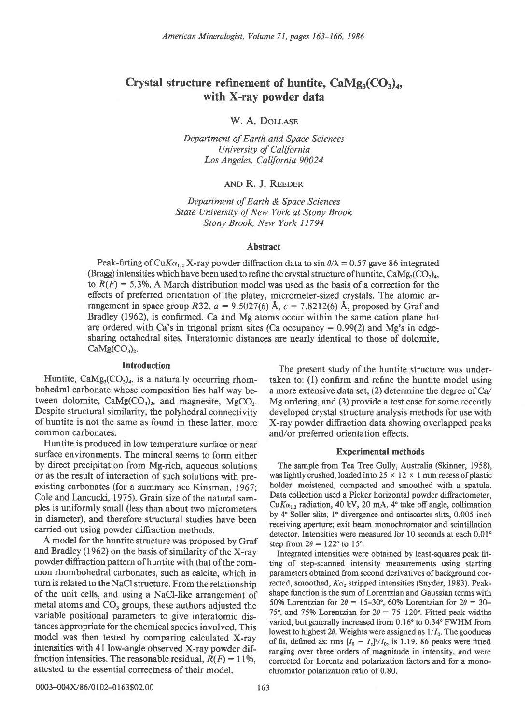# Crystal structure refinement of huntite,  $\text{CaMg}_{3}(\text{CO}_{3})_{4}$ , with X-ray powder data

W. A. DOLLASE

Department of Earth and Space Sciences University of California Los Angeles, California 90024

and R. J. Reeder

Department of Earth & Space Sciences State University of New York at Stony Brook Stony Brook, New York I 1794

# Abstract

Peak-fitting of CuK $\alpha_{1,2}$  X-ray powder diffraction data to sin  $\theta/\lambda = 0.57$  gave 86 integrated (Bragg) intensities which have been used to refine the crystal structure of huntite,  $CaMg_3(CO_3)_{4}$ , to  $R(F) = 5.3\%$ . A March distribution model was used as the basis of a correction for the effects of preferred orientation of the platey, micrometer-sized crystals. The atomic arrangement in space group R32,  $a = 9.5027(6)$  Å,  $c = 7.8212(6)$  Å, proposed by Graf and Bradley (1962), is confirmed. Ca and Mg atoms occur within the same cation plane but are ordered with Ca's in trigonal prism sites (Ca occupancy  $= 0.99(2)$  and Mg's in edgesharing octahedral sites. Interatomic distances are nearly identical to those of dolomite,  $CaMg(CO<sub>3</sub>)<sub>2</sub>$ .

# Introduction

Huntite,  $CaMg_3(CO_3)_4$ , is a naturally occurring rhombohedral carbonate whose composition lies half way between dolomite,  $CaMg(CO<sub>3</sub>)<sub>2</sub>$ , and magnesite, MgCO<sub>3</sub>. Despite structural similarity, the polyhedral connectivity of huntite is not the same as found in these latter, more common carbonates.

Huntite is produced in low temperature surface or near surface environments. The mineral seems to form either by direct precipitation from Mg-rich, aqueous solutions or as the result of interaction of such solutions with preexisting carbonates (for a summary see Kinsman, 1967; Cole and Lancucki, 1975). Grain size of the natural samples is uniformly small (less than about two micrometers in diameter), and therefore structural studies have been carried out using powder diffraction methods.

A model for the huntite structure was proposed by Graf and Bradley (1962) on the basis of similarity of the X-ray powder difraction pattern of huntite with that of the common rhombohedral carbonates, such as calcite, which in turn is related to the NaCl structure. From the relationship of the unit cells, and using a NaCl-like arrangement of metal atoms and  $CO<sub>3</sub>$  groups, these authors adjusted the variable positional parameters to give interatomic distances appropriate for the chemical species involved. This model was then tested by comparing calculated X-ray intensities with 4l low-angle observed X-ray powder diffraction intensities. The reasonable residual,  $R(F) = 11\%$ , attested to the essential correctness of their model.

The present study of the huntite structure was undertaken to: (l) confirm and refine the huntite model using a more extensive data set,  $(2)$  determine the degree of Ca/ Mg ordering, and (3) provide a test case for some recently developed crystal structure analysis methods for use with X-ray powder diffraction data showing overlapped peaks and/or preferred orientation effects.

## **Experimental methods**

The sample from Tea Tree Gully, Australia (Skinner, 1958), was lightly crushed, loaded into  $25 \times 12 \times 1$  mm recess of plastic holder, moistened, compacted and smoothed with a spatula. Data collection used a Picker horizontal powder diftactometer, Cu $Ka_{1,2}$  radiation, 40 kV, 20 mA, 4° take off angle, collimation by 4" Soller slits, l" divergence and antiscatter slits, 0.005 inch receiving aperture; exit beam monochromator and scintillation detector. Intensities were measured for 10 seconds at each 0.01' step from  $2\theta = 122^{\circ}$  to 15°.

Integrated intensities were obtained by least-squares peak fitting of step-scanned intensity measurements using starting parameters obtained from second derivatives of background corrected, smoothed,  $K\alpha_2$  stripped intensities (Snyder, 1983). Peakshape function is the surn of Lorentzian and Gaussian terms with 50% Lorentzian for  $2\theta = 15-30^{\circ}$ , 60% Lorentzian for  $2\theta = 30-$ 75°, and 75% Lorentzian for  $2\theta = 75-120$ °. Fitted peak widths varied, but generally increased from 0.16° to 0.34° FWHM from lowest to highest 2 $\theta$ . Weights were assigned as  $1/I_0$ . The goodness of fit, defined as: rms  $[I_0 - I_c]^2/I_0$ , is 1.19. 86 peaks were fitted ranging over three orders of magnitude in intensity, and were corrected for Iorentz and polarization factors and for a monochromator polarization ratio of 0.80.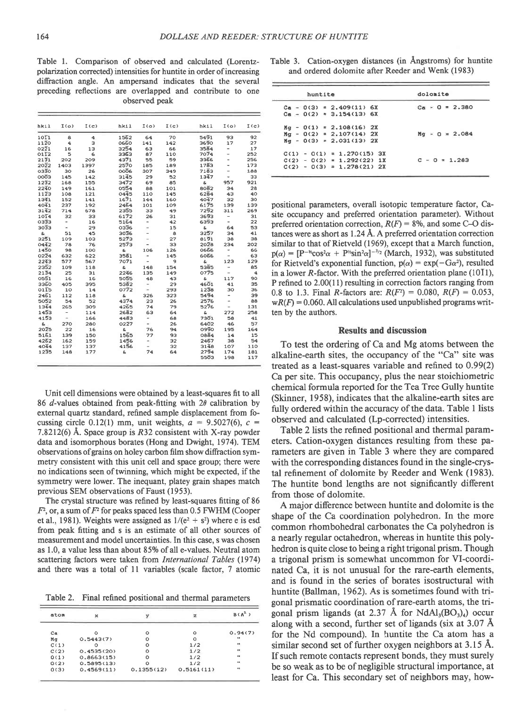Table l. Comparison of observed and calculated (Lorentzpolarization corrected) intensities for huntite in order of increasing diffraction angle. An ampersand indicates that the several preceding reflections are overlapped and contribute to one observed peak

| hkil              | I(0)                     | I(c) | hkil              | $I(\sigma)$              | I(c) | hkil              | $I(\Omega)$              | I(c)            |
|-------------------|--------------------------|------|-------------------|--------------------------|------|-------------------|--------------------------|-----------------|
| $10\overline{1}1$ | 8                        | 4    | 1562              | 64                       | 70   | 5491              | 93                       | 92              |
| 1120              | 4                        | з    | 0660              | 141                      | 142  | 3690              | 17                       | 27              |
| 0221              | 16                       | 13   | 3254              | 63                       | 66   | 3584              | $\overline{\phantom{0}}$ | 17              |
| 0112              | 5                        | 6    | 3363              | 87                       | 110  | 7074              | ÷,                       | 252             |
| 2131              | 202                      | 209  | 4371              | 55                       | 59   | 3366              | ٠                        | 256             |
| 2022              | 1403                     | 1397 | 2570              | 185                      | 189  | 1783              |                          | 173             |
| 0330              | 30                       | 26   | 0006              | 307                      | 349  | 7183              | L                        | 188             |
| 0003              | 145                      | 142  | $31\bar{4}5$      | 29                       | 52   | 1347              | $\overline{a}$           | 33              |
| 1232              | 168                      | 155  | 3472              | 69                       | 85   | $\mathbf{s}$      | 957                      | 921             |
| 2240              | 149                      | 161  | 0554              | 88                       | 101  | 8082              | 34                       | 28              |
| $11\overline{2}3$ | 108                      | 121  | 0445              | 110                      | 145  | 6284              | 43                       | 40              |
| 1341              | 152                      | 141  | 1671              | 144                      | 160  | 4047              | 32                       | 30              |
| 4041              | 237                      | 192  | 2464              | 101                      | 109  | 6175              | 139                      | 139             |
| 3142              | 714                      | 678  | 2355              | зэ                       | 49   | 7292              | 311                      | 269             |
| $10\overline{14}$ | 32                       | 33   | 6172              | 26                       | 31   | 3693              | $\overline{\phantom{0}}$ | 31              |
| 0333              | -                        | 16   | 5164              | ٠                        | 42   | 6393              | -                        | 22              |
| 3033              | ۰                        | 29   | 0336              | $\overline{a}$           | 15   | e,                | 64                       | 53              |
| S.                | 51                       | 45   | 3036              | ÷                        | 8    | 3257              | 34                       | 41              |
| 3251              | 109                      | 103  | 5273              | $\overline{a}$           | 27   | 8191              | 38                       | 38              |
| 0442              | 78                       | 76   | 2573              | ÷                        | 33   | $20\bar{2}8$      | 234                      | 202             |
| 1450              | 98                       | 100  | e.                | 106                      | 126  | 0666              | ÷                        | 66              |
| 0224              | 632                      | 622  | $35\overline{6}1$ | $\overline{\phantom{a}}$ | 145  | 6066              | ÷                        | 63              |
| 2243              | 577                      | 567  | 7071              | $\overline{a}$           | 9    | e.                | 123                      | 129             |
| 2352              | 109                      | 118  | G,                | 148                      | 154  | 5385              | $\tilde{\phantom{a}}$    | 85              |
| 2134              | 25                       | 31   | 2246              | 135                      | 149  | 0775              | $\overline{\phantom{a}}$ | $\ddot{\bf{a}}$ |
| 0551              | 16                       | 16   | 5055              | 48                       | 43   | S.                | 117                      | 90              |
| 3360              | 405                      | 395  | 5382              | $\overline{\phantom{a}}$ | 29   | 4601              | 41                       | 35              |
| 0115              | 10                       | 14   | 0772              |                          | 293  | $12\bar{3}8$      | 30                       | 36              |
| 2461              | 112                      | 118  | £,                | 326                      | 323  | 5494              | $\overline{\phantom{0}}$ | 39              |
| 5052              | 54                       | 52   | 4374              | 23                       | 26   | 2576              | ä,                       | 88              |
| 1344              | 265                      | 909  | 4265              | 74                       | 79   | 5276              | -                        | 131             |
| 1453              | $\overline{\phantom{a}}$ | 114  | 2682              | 63                       | 64   | S.                | 272                      | 258             |
| 4153              | $\overline{\phantom{a}}$ | 166  | 4483              |                          | 68   | 7301              | 58                       | 41              |
| S.                | 270                      | 280  | 0227              | $\overline{\phantom{a}}$ | 26   | $64\overline{0}2$ | 46                       | 57              |
| $20\bar{2}5$      | 22                       | 16   | £.                | 76                       | 94   | 0990              | 195                      | 164             |
| 5161              | 139                      | 150  | 1565              | 77                       | 93   | 0884              | 14                       | 15              |
| 4262              | 162                      | 159  | 1456              | -                        | 32   | 2457              | 38                       | 54              |
| 4044              | 137                      | 137  | 4156              |                          | 32   | 3148              | 107                      | 110             |
| 1235              | 148                      | 177  | S.                | 74                       | 64   | 2794              | 174                      | 181             |
|                   |                          |      |                   |                          |      | 5503              | 198                      | 117             |

Unit cell dimensions were obtained by a least-squares fit to all 86 d-values obtained from peak-fitting with  $2\theta$  calibration by external quartz standard, refined sample displacement from focussing circle 0.12(1) mm, unit weights,  $a=9.5027(6)$ ,  $c=$ 7.8212(6) A. Space group is R32 consistent with X-ray powder data and isomorphous borates (Hong and Dwight, 1974). TEM observations of grains on holey carbon film show diffraction symmetry consistent with this unit cell and space group; there were no indications seen of twinning, which might be expected, if the symmetry were lower. The inequant, platey grain shapes match previous SEM observations of Faust (1953).

The crystal structure was refined by least-squares fitting of 86  $F<sup>2</sup>$ , or, a sum of  $F<sup>2</sup>$  for peaks spaced less than 0.5 FWHM (Cooper et al., 1981). Weights were assigned as  $1/(e^2 + s^2)$  where e is esd from peak fitting and s is an estimate of all other sources of measurement and model uncertainties. In this case, s was chosen as 1.0, a value less than about 85% of all e-values. Neutral atom scattering factors were taken from International Tables (1974) and there was a total of 11 variables (scale factor, 7 atomic

Table 2. Final refined positional and thermal parameters

| atom |            |            |            | B(A <sup>2</sup> ) |
|------|------------|------------|------------|--------------------|
| Сa   |            |            |            | 0.94(7)            |
| Mq   | 0.5443(7)  |            |            | $\mathbf{a}$       |
| C(1) |            |            | 1/2        |                    |
| C(2) | 0.4535(20) |            | 1/2        | 88                 |
| 0(1) | 0.8663(15) |            | 1/2        | $\bullet$          |
| O(2) | 0.5895(13) |            | 1/2        | $\bullet$          |
| 0(3) | 0.4569(11) | 0.1355(12) | 0.5161(11) | .,                 |

Table 3. Cation-oxygen distances (in Angstroms) for huntite and ordered dolomite after Reeder and Wenk (1983)

| ampersand indicates that the several<br>re overlapped and contribute to one<br>observed peak |      |      |      |                          |      | huntite                                                  | dolomite         |  |
|----------------------------------------------------------------------------------------------|------|------|------|--------------------------|------|----------------------------------------------------------|------------------|--|
|                                                                                              |      |      |      |                          |      | $Ca - D(3) = 2.409(11) 6X$<br>$Ca - 0(2) = 3.154(13) 6X$ | $Ca = 0 = 2.380$ |  |
| hkil                                                                                         | I(0) | I(c) | hkil | I(0)                     | I(c) | $Mq - 0(1) = 2.108(16)$ 2X                               |                  |  |
| 1562                                                                                         | 64   | 70   | 5491 | 93                       | 92   | $Mq - 0(2) = 2,107(14)$ 2X                               | $Mg = 0 = 2.084$ |  |
| 0320                                                                                         | 141  | 142  | 3690 | 17                       | 27   | $Mq - 0(3) = 2.031(13) 2X$                               |                  |  |
| 3254                                                                                         | 63   | 66   | 3584 | $\overline{\phantom{a}}$ | 17   |                                                          |                  |  |
| зэбз                                                                                         | 87   | 110  | 7074 | $\sim$                   | 252  | $C(1) - O(1) = 1.270(15)$ 3X                             |                  |  |
| 4371                                                                                         | 55   | 59   | 3366 | $\overline{\phantom{a}}$ | 256  | $C(2) - D(2) = 1.292(22) 1X$                             | $C - 0 = 1.283$  |  |
| 2570                                                                                         | 185  | 189  | 1783 | $\overline{\phantom{0}}$ | 173  | $C(2) - D(3) = 1.278(21) 2X$                             |                  |  |
| 9000                                                                                         | 307  | 349  | 7183 | $\overline{\phantom{0}}$ | 188  |                                                          |                  |  |
|                                                                                              |      |      |      |                          |      |                                                          |                  |  |

positional parameters, overall isotopic temperature factor, Casite occupancy and preferred orientation parameter). Without preferred orientation correction,  $R(F) = 8\%$ , and some C-O distances were as short as  $1.24$  Å. A preferred orientation correction similar to that of Rietveld (1969), except that a March function,  $p(\alpha) = [P^{-\kappa} \cos^2 \alpha + P^{\kappa} \sin^2 \alpha]^{-3/2}$  (March, 1932), was substituted for Rietveld's exponential function,  $p(\alpha) = \exp(-G\alpha^2)$ , resulted in a lower R-factor. With the preferred orientation plane  $(10\bar{1}1)$ , P refined to 2.00(11) resulting in correction factors ranging from 0.8 to 1.3. Final R-factors are:  $R(F^2) = 0.080$ ,  $R(F) = 0.053$ ,  $wR(F) = 0.060$ . All calculations used unpublished programs written by the authors.

### Results and discussion

To test the ordering of Ca and Mg atoms between the alkaline-earth sites, the occupancy of the "Ca" site was treated as a least-squares variable and refined to 0.99(2) Ca per site. This occupancy, plus the near stoichiometric chemical formula reported for the Tea Tree Gully huntite (Skinner, 1958), indicates that the alkaline-earth sites are fully ordered within the accuracy of the data. Table I lists observed and calculated (Lp-corrected) intensities.

Table 2 lists the refined positional and thermal parameters. Cation-oxygen distances resulting from these parameters are given in Table 3 where they are compared with the corresponding distances found in the single-crystal refinement of dolomite by Reeder and Wenk (1983). The huntite bond lengths are not significantly different from those of dolomite.

A major difference between huntite and dolomite is the shape of the Ca coordination polyhedron. In the more common rhombohedral carbonates the Ca polyhedron is a nearly regular octahedron, whereas in huntite this polyhedron is quite close to being a right trigonal prism. Though a trigonal prism is somewhat uncommon for Vl-coordinated Ca, it is not unusual for the rare-earth elements, and is found in the series of borates isostructural with huntite (Ballman, 1962). As is sometimes found with trigonal prismatic coordination of rare-earth atoms, the trigonal prism ligands (at 2.37 Å for  $NdAl<sub>3</sub>(BO<sub>3</sub>)<sub>a</sub>$ ) occur along with a second, further set of ligands (six at 3.07 A for the Nd compound). In huntite the Ca atom has a similar second set of further oxygen neighbors at 3.15 A. If such remote contacts represent bonds, they must surely be so weak as to be of negligible structural importance, at least for Ca. This secondary set of neighbors may, how-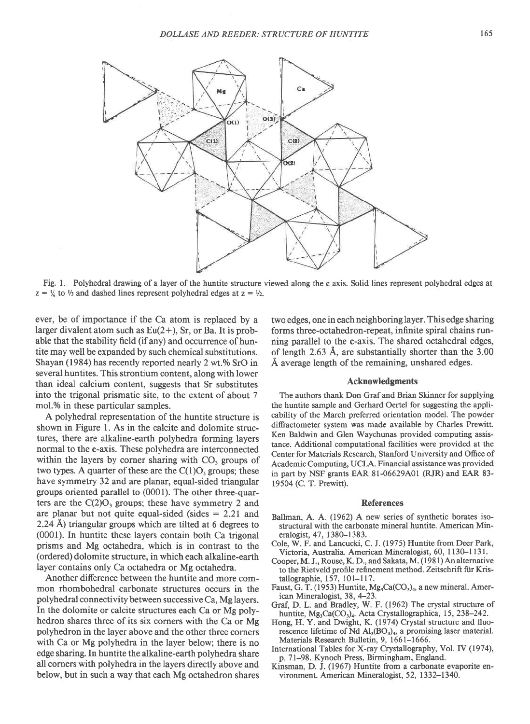

Fig. 1. Polyhedral drawing of a layer of the huntite structure viewed along the c axis. Solid lines represent polyhedral edges at  $z = \frac{1}{6}$  to  $\frac{1}{3}$  and dashed lines represent polyhedral edges at  $z = \frac{1}{2}$ .

ever, be of importance if the Ca atom is replaced by a larger divalent atom such as  $Eu(2+)$ , Sr, or Ba. It is probable that the stability field (if any) and occurrence of huntite may well be expanded by such chemical substitutions. Shayan (1984) has recently reported nearly 2 wt.% SrO in several huntites. This strontium content, along with lower than ideal calcium content, suggests that Sr substitutes into the trigonal prismatic site, to the extent of about 7 mol.% in these particular samples.

A polyhedral representation of the huntite structure is shown in Figure l. As in the calcite and dolomite structures, there are alkaline-earth polyhedra forming layers normal to the c-axis. These polyhedra are interconnected within the layers by corner sharing with  $CO<sub>3</sub>$  groups of two types. A quarter of these are the  $C(1)O<sub>3</sub>$  groups; these have symmetry 32 and are planar, equal-sided triangular groups oriented parallel to (0001). The other three-quarters are the  $C(2)O<sub>3</sub>$  groups; these have symmetry 2 and are planar but not quite equal-sided (sides  $= 2.21$  and 2.24 A) triangular groups which are tilted at 6 degrees to (0001). In huntite these layers contain both Ca trigonal prisms and Mg octahedra, which is in contrast to the (ordered) dolomite structure, in which each alkaline-earth layer contains only Ca octahedra or Mg octahedra.

Another difference between the huntite and more common rhombohedral carbonate structures occurs in the polyhedral connectivity between successive Ca, Mg layers. In the dolomite or calcite structures each Ca or Mg polyhedron shares three of its six corners with the Ca or Mg polyhedron in the layer above and the other three corners with Ca or Mg polyhedra in the layer below; there is no edge sharing. In huntite the alkaline-earth polyhedra share all corners with polyhedra in the layers directly above and below, but in such a way that each Mg octahedron shares two edges, one in each neighboring layer. This edge sharing forms three-octahedron-repeat, infinite spiral chains running parallel to the c-axis. The shared octahedral edges, of length 2.63  $\AA$ , are substantially shorter than the 3.00  $\AA$  average length of the remaining, unshared edges.

### Acknowledgments

The authors thank Don Graf and Brian Skinner for supplying the huntite sample and Gerhard Oertel for suggesting the applicability of the March preferred orientation rnodel. The powder difractometer system was made available by Charles Prewitt. Ken Baldwin and Glen Waychunas provided computing assistance. Additional computational facilities were provided at the Center for Materials Research, Stanford University and Office of Academic Computing, UCLA. Financial assistance was provided in part by NSF grants EAR 8l-06629401 (RIR) and EAR 83- 19504 (C. T. Prewitt).

#### References

- Ballman, A. A. (1962) A new series of synthetic borates isostructural with the carbonate mineral huntite. American Mineralogist, 47, I 38G-1383.
- Cole, W. F. and Lancucki, C. J. (1975) Huntite from Deer Park, Victoria, Australia. American Mineralogist, 60, 1130-1131.
- Cooper, M. J., Rouse, K. D., and Sakata, M. (1981) An alternative to the Rietveld profile refinement method. Zeitschrift flir Kristallographie, 157, l0l-1 17.
- Faust, G. T. (1953) Huntite,  $Mg_3Ca(CO_3)_4$ , a new mineral. American Mineralogist, 38, 4-23.
- Graf, D. L. and Bradley, W. F. (1962) The crystal structure of huntite, Mg<sub>3</sub>Ca(CO<sub>3</sub>)<sub>4</sub>. Acta Crystallographica, 15, 238-242.
- Hong, H. Y. and Dwight, K. (1974) Crystal structure and fluorescence lifetime of Nd  $\text{Al}_3(\text{BO}_3)_4$ , a promising laser material. Materials Research Bulletin, 9, L66l-1666.
- International Tables for X-ray Crystallography, Vol. IV (1974), p. 7l-98. Kynoch Press, Birmingham, England.
- Kinsman, D. J. (1967) Huntite from a carbonate evaporite environment. American Mineralogist, 52, 1332-1340.